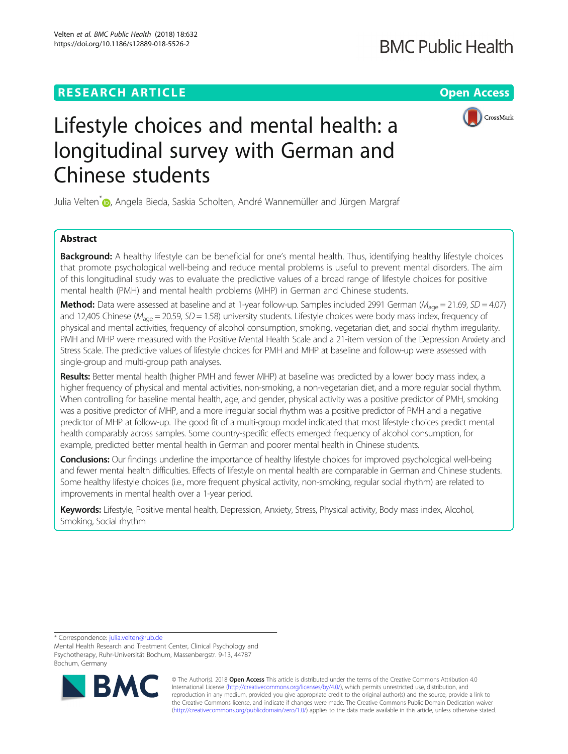Velten et al. BMC Public Health (2018) 18:632 https://doi.org/10.1186/s12889-018-5526-2

**RESEARCH ARTICLE Example 2014 12:30 The Contract of Contract ACCESS** 



# Lifestyle choices and mental health: a longitudinal survey with German and Chinese students

Julia Velten<sup>\*</sup> [,](http://orcid.org/0000-0002-6822-767X) Angela Bieda, Saskia Scholten, André Wannemüller and Jürgen Margraf

# Abstract

Background: A healthy lifestyle can be beneficial for one's mental health. Thus, identifying healthy lifestyle choices that promote psychological well-being and reduce mental problems is useful to prevent mental disorders. The aim of this longitudinal study was to evaluate the predictive values of a broad range of lifestyle choices for positive mental health (PMH) and mental health problems (MHP) in German and Chinese students.

**Method:** Data were assessed at baseline and at 1-year follow-up. Samples included 2991 German ( $M_{\text{aqe}} = 21.69$ ,  $SD = 4.07$ ) and 12,405 Chinese ( $M_{\text{aoe}}$  = 20.59, SD = 1.58) university students. Lifestyle choices were body mass index, frequency of physical and mental activities, frequency of alcohol consumption, smoking, vegetarian diet, and social rhythm irregularity. PMH and MHP were measured with the Positive Mental Health Scale and a 21-item version of the Depression Anxiety and Stress Scale. The predictive values of lifestyle choices for PMH and MHP at baseline and follow-up were assessed with single-group and multi-group path analyses.

Results: Better mental health (higher PMH and fewer MHP) at baseline was predicted by a lower body mass index, a higher frequency of physical and mental activities, non-smoking, a non-vegetarian diet, and a more regular social rhythm. When controlling for baseline mental health, age, and gender, physical activity was a positive predictor of PMH, smoking was a positive predictor of MHP, and a more irregular social rhythm was a positive predictor of PMH and a negative predictor of MHP at follow-up. The good fit of a multi-group model indicated that most lifestyle choices predict mental health comparably across samples. Some country-specific effects emerged: frequency of alcohol consumption, for example, predicted better mental health in German and poorer mental health in Chinese students.

**Conclusions:** Our findings underline the importance of healthy lifestyle choices for improved psychological well-being and fewer mental health difficulties. Effects of lifestyle on mental health are comparable in German and Chinese students. Some healthy lifestyle choices (i.e., more frequent physical activity, non-smoking, regular social rhythm) are related to improvements in mental health over a 1-year period.

Keywords: Lifestyle, Positive mental health, Depression, Anxiety, Stress, Physical activity, Body mass index, Alcohol, Smoking, Social rhythm

\* Correspondence: [julia.velten@rub.de](mailto:julia.velten@rub.de)

Mental Health Research and Treatment Center, Clinical Psychology and Psychotherapy, Ruhr-Universität Bochum, Massenbergstr. 9-13, 44787 Bochum, Germany



© The Author(s). 2018 Open Access This article is distributed under the terms of the Creative Commons Attribution 4.0 International License [\(http://creativecommons.org/licenses/by/4.0/](http://creativecommons.org/licenses/by/4.0/)), which permits unrestricted use, distribution, and reproduction in any medium, provided you give appropriate credit to the original author(s) and the source, provide a link to the Creative Commons license, and indicate if changes were made. The Creative Commons Public Domain Dedication waiver [\(http://creativecommons.org/publicdomain/zero/1.0/](http://creativecommons.org/publicdomain/zero/1.0/)) applies to the data made available in this article, unless otherwise stated.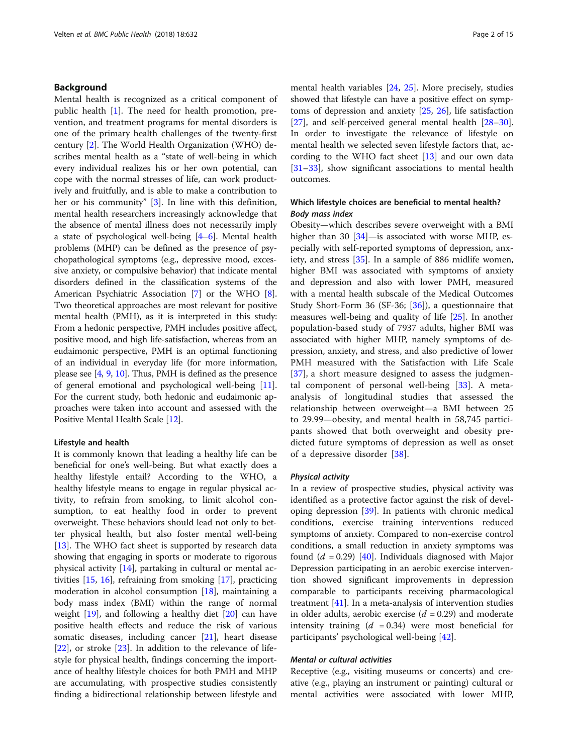# Background

Mental health is recognized as a critical component of public health [[1\]](#page-12-0). The need for health promotion, prevention, and treatment programs for mental disorders is one of the primary health challenges of the twenty-first century [[2\]](#page-12-0). The World Health Organization (WHO) describes mental health as a "state of well-being in which every individual realizes his or her own potential, can cope with the normal stresses of life, can work productively and fruitfully, and is able to make a contribution to her or his community" [\[3](#page-12-0)]. In line with this definition, mental health researchers increasingly acknowledge that the absence of mental illness does not necessarily imply a state of psychological well-being [[4](#page-12-0)–[6](#page-12-0)]. Mental health problems (MHP) can be defined as the presence of psychopathological symptoms (e.g., depressive mood, excessive anxiety, or compulsive behavior) that indicate mental disorders defined in the classification systems of the American Psychiatric Association [\[7](#page-12-0)] or the WHO [[8](#page-12-0)]. Two theoretical approaches are most relevant for positive mental health (PMH), as it is interpreted in this study: From a hedonic perspective, PMH includes positive affect, positive mood, and high life-satisfaction, whereas from an eudaimonic perspective, PMH is an optimal functioning of an individual in everyday life (for more information, please see [[4,](#page-12-0) [9](#page-12-0), [10\]](#page-12-0). Thus, PMH is defined as the presence of general emotional and psychological well-being [[11](#page-12-0)]. For the current study, both hedonic and eudaimonic approaches were taken into account and assessed with the Positive Mental Health Scale [\[12\]](#page-12-0).

#### Lifestyle and health

It is commonly known that leading a healthy life can be beneficial for one's well-being. But what exactly does a healthy lifestyle entail? According to the WHO, a healthy lifestyle means to engage in regular physical activity, to refrain from smoking, to limit alcohol consumption, to eat healthy food in order to prevent overweight. These behaviors should lead not only to better physical health, but also foster mental well-being [[13\]](#page-12-0). The WHO fact sheet is supported by research data showing that engaging in sports or moderate to rigorous physical activity [\[14](#page-12-0)], partaking in cultural or mental activities [[15,](#page-12-0) [16](#page-12-0)], refraining from smoking [[17](#page-12-0)], practicing moderation in alcohol consumption [\[18](#page-12-0)], maintaining a body mass index (BMI) within the range of normal weight [\[19\]](#page-12-0), and following a healthy diet [\[20](#page-12-0)] can have positive health effects and reduce the risk of various somatic diseases, including cancer [\[21](#page-12-0)], heart disease [[22\]](#page-12-0), or stroke [\[23](#page-12-0)]. In addition to the relevance of lifestyle for physical health, findings concerning the importance of healthy lifestyle choices for both PMH and MHP are accumulating, with prospective studies consistently finding a bidirectional relationship between lifestyle and

mental health variables [[24,](#page-12-0) [25\]](#page-12-0). More precisely, studies showed that lifestyle can have a positive effect on symptoms of depression and anxiety [\[25](#page-12-0), [26\]](#page-12-0), life satisfaction [[27\]](#page-12-0), and self-perceived general mental health [[28](#page-12-0)–[30](#page-12-0)]. In order to investigate the relevance of lifestyle on mental health we selected seven lifestyle factors that, according to the WHO fact sheet [[13](#page-12-0)] and our own data [[31](#page-12-0)–[33](#page-13-0)], show significant associations to mental health outcomes.

# Which lifestyle choices are beneficial to mental health? Body mass index

Obesity—which describes severe overweight with a BMI higher than 30  $[34]$  $[34]$ —is associated with worse MHP, especially with self-reported symptoms of depression, anxiety, and stress [\[35\]](#page-13-0). In a sample of 886 midlife women, higher BMI was associated with symptoms of anxiety and depression and also with lower PMH, measured with a mental health subscale of the Medical Outcomes Study Short-Form 36 (SF-36; [[36\]](#page-13-0)), a questionnaire that measures well-being and quality of life [\[25](#page-12-0)]. In another population-based study of 7937 adults, higher BMI was associated with higher MHP, namely symptoms of depression, anxiety, and stress, and also predictive of lower PMH measured with the Satisfaction with Life Scale [[37\]](#page-13-0), a short measure designed to assess the judgmental component of personal well-being  $[33]$  $[33]$ . A metaanalysis of longitudinal studies that assessed the relationship between overweight—a BMI between 25 to 29.99—obesity, and mental health in 58,745 participants showed that both overweight and obesity predicted future symptoms of depression as well as onset of a depressive disorder [[38](#page-13-0)].

#### Physical activity

In a review of prospective studies, physical activity was identified as a protective factor against the risk of developing depression [\[39](#page-13-0)]. In patients with chronic medical conditions, exercise training interventions reduced symptoms of anxiety. Compared to non-exercise control conditions, a small reduction in anxiety symptoms was found  $(d = 0.29)$  [[40](#page-13-0)]. Individuals diagnosed with Major Depression participating in an aerobic exercise intervention showed significant improvements in depression comparable to participants receiving pharmacological treatment [[41\]](#page-13-0). In a meta-analysis of intervention studies in older adults, aerobic exercise  $(d = 0.29)$  and moderate intensity training  $(d = 0.34)$  were most beneficial for participants' psychological well-being [\[42](#page-13-0)].

### Mental or cultural activities

Receptive (e.g., visiting museums or concerts) and creative (e.g., playing an instrument or painting) cultural or mental activities were associated with lower MHP,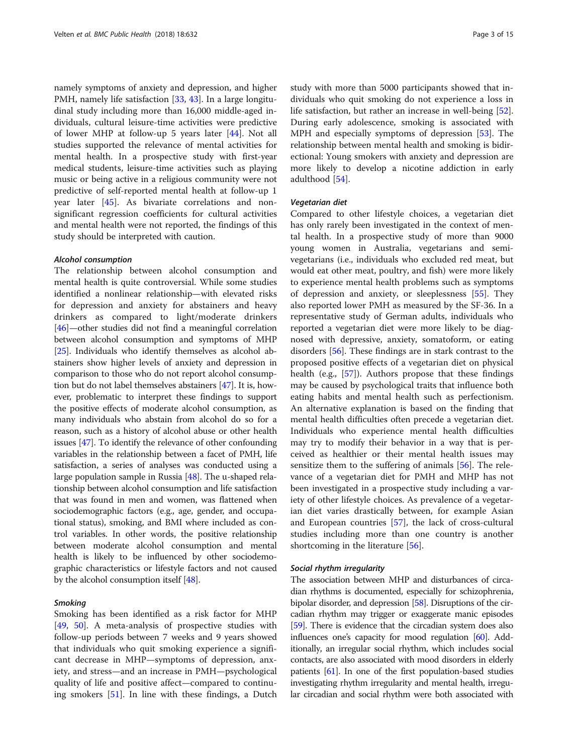namely symptoms of anxiety and depression, and higher PMH, namely life satisfaction [\[33](#page-13-0), [43](#page-13-0)]. In a large longitudinal study including more than 16,000 middle-aged individuals, cultural leisure-time activities were predictive of lower MHP at follow-up 5 years later [[44\]](#page-13-0). Not all studies supported the relevance of mental activities for mental health. In a prospective study with first-year medical students, leisure-time activities such as playing music or being active in a religious community were not predictive of self-reported mental health at follow-up 1 year later [[45\]](#page-13-0). As bivariate correlations and nonsignificant regression coefficients for cultural activities and mental health were not reported, the findings of this study should be interpreted with caution.

#### Alcohol consumption

The relationship between alcohol consumption and mental health is quite controversial. While some studies identified a nonlinear relationship—with elevated risks for depression and anxiety for abstainers and heavy drinkers as compared to light/moderate drinkers [[46](#page-13-0)]—other studies did not find a meaningful correlation between alcohol consumption and symptoms of MHP [[25](#page-12-0)]. Individuals who identify themselves as alcohol abstainers show higher levels of anxiety and depression in comparison to those who do not report alcohol consumption but do not label themselves abstainers [[47](#page-13-0)]. It is, however, problematic to interpret these findings to support the positive effects of moderate alcohol consumption, as many individuals who abstain from alcohol do so for a reason, such as a history of alcohol abuse or other health issues [[47](#page-13-0)]. To identify the relevance of other confounding variables in the relationship between a facet of PMH, life satisfaction, a series of analyses was conducted using a large population sample in Russia [\[48\]](#page-13-0). The u-shaped relationship between alcohol consumption and life satisfaction that was found in men and women, was flattened when sociodemographic factors (e.g., age, gender, and occupational status), smoking, and BMI where included as control variables. In other words, the positive relationship between moderate alcohol consumption and mental health is likely to be influenced by other sociodemographic characteristics or lifestyle factors and not caused by the alcohol consumption itself [\[48\]](#page-13-0).

#### **Smoking**

Smoking has been identified as a risk factor for MHP [[49,](#page-13-0) [50](#page-13-0)]. A meta-analysis of prospective studies with follow-up periods between 7 weeks and 9 years showed that individuals who quit smoking experience a significant decrease in MHP—symptoms of depression, anxiety, and stress—and an increase in PMH—psychological quality of life and positive affect—compared to continuing smokers [[51\]](#page-13-0). In line with these findings, a Dutch study with more than 5000 participants showed that individuals who quit smoking do not experience a loss in life satisfaction, but rather an increase in well-being [\[52](#page-13-0)]. During early adolescence, smoking is associated with MPH and especially symptoms of depression [[53\]](#page-13-0). The relationship between mental health and smoking is bidirectional: Young smokers with anxiety and depression are more likely to develop a nicotine addiction in early adulthood [\[54](#page-13-0)].

#### Vegetarian diet

Compared to other lifestyle choices, a vegetarian diet has only rarely been investigated in the context of mental health. In a prospective study of more than 9000 young women in Australia, vegetarians and semivegetarians (i.e., individuals who excluded red meat, but would eat other meat, poultry, and fish) were more likely to experience mental health problems such as symptoms of depression and anxiety, or sleeplessness [[55\]](#page-13-0). They also reported lower PMH as measured by the SF-36. In a representative study of German adults, individuals who reported a vegetarian diet were more likely to be diagnosed with depressive, anxiety, somatoform, or eating disorders [\[56](#page-13-0)]. These findings are in stark contrast to the proposed positive effects of a vegetarian diet on physical health (e.g., [\[57](#page-13-0)]). Authors propose that these findings may be caused by psychological traits that influence both eating habits and mental health such as perfectionism. An alternative explanation is based on the finding that mental health difficulties often precede a vegetarian diet. Individuals who experience mental health difficulties may try to modify their behavior in a way that is perceived as healthier or their mental health issues may sensitize them to the suffering of animals [\[56\]](#page-13-0). The relevance of a vegetarian diet for PMH and MHP has not been investigated in a prospective study including a variety of other lifestyle choices. As prevalence of a vegetarian diet varies drastically between, for example Asian and European countries [[57\]](#page-13-0), the lack of cross-cultural studies including more than one country is another shortcoming in the literature [\[56](#page-13-0)].

#### Social rhythm irregularity

The association between MHP and disturbances of circadian rhythms is documented, especially for schizophrenia, bipolar disorder, and depression [\[58](#page-13-0)]. Disruptions of the circadian rhythm may trigger or exaggerate manic episodes [[59](#page-13-0)]. There is evidence that the circadian system does also influences one's capacity for mood regulation [\[60\]](#page-13-0). Additionally, an irregular social rhythm, which includes social contacts, are also associated with mood disorders in elderly patients [[61](#page-13-0)]. In one of the first population-based studies investigating rhythm irregularity and mental health, irregular circadian and social rhythm were both associated with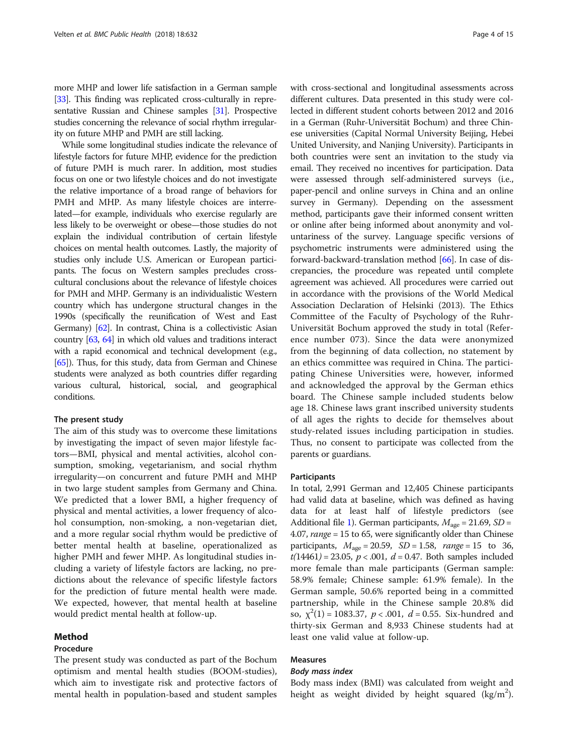more MHP and lower life satisfaction in a German sample [[33](#page-13-0)]. This finding was replicated cross-culturally in representative Russian and Chinese samples [\[31\]](#page-12-0). Prospective studies concerning the relevance of social rhythm irregularity on future MHP and PMH are still lacking.

While some longitudinal studies indicate the relevance of lifestyle factors for future MHP, evidence for the prediction of future PMH is much rarer. In addition, most studies focus on one or two lifestyle choices and do not investigate the relative importance of a broad range of behaviors for PMH and MHP. As many lifestyle choices are interrelated—for example, individuals who exercise regularly are less likely to be overweight or obese—those studies do not explain the individual contribution of certain lifestyle choices on mental health outcomes. Lastly, the majority of studies only include U.S. American or European participants. The focus on Western samples precludes crosscultural conclusions about the relevance of lifestyle choices for PMH and MHP. Germany is an individualistic Western country which has undergone structural changes in the 1990s (specifically the reunification of West and East Germany) [\[62](#page-13-0)]. In contrast, China is a collectivistic Asian country [\[63](#page-13-0), [64\]](#page-13-0) in which old values and traditions interact with a rapid economical and technical development (e.g., [[65](#page-13-0)]). Thus, for this study, data from German and Chinese students were analyzed as both countries differ regarding various cultural, historical, social, and geographical conditions.

#### The present study

The aim of this study was to overcome these limitations by investigating the impact of seven major lifestyle factors—BMI, physical and mental activities, alcohol consumption, smoking, vegetarianism, and social rhythm irregularity—on concurrent and future PMH and MHP in two large student samples from Germany and China. We predicted that a lower BMI, a higher frequency of physical and mental activities, a lower frequency of alcohol consumption, non-smoking, a non-vegetarian diet, and a more regular social rhythm would be predictive of better mental health at baseline, operationalized as higher PMH and fewer MHP. As longitudinal studies including a variety of lifestyle factors are lacking, no predictions about the relevance of specific lifestyle factors for the prediction of future mental health were made. We expected, however, that mental health at baseline would predict mental health at follow-up.

#### Method

# Procedure

The present study was conducted as part of the Bochum optimism and mental health studies (BOOM-studies), which aim to investigate risk and protective factors of mental health in population-based and student samples with cross-sectional and longitudinal assessments across different cultures. Data presented in this study were collected in different student cohorts between 2012 and 2016 in a German (Ruhr-Universität Bochum) and three Chinese universities (Capital Normal University Beijing, Hebei United University, and Nanjing University). Participants in both countries were sent an invitation to the study via email. They received no incentives for participation. Data were assessed through self-administered surveys (i.e., paper-pencil and online surveys in China and an online survey in Germany). Depending on the assessment method, participants gave their informed consent written or online after being informed about anonymity and voluntariness of the survey. Language specific versions of psychometric instruments were administered using the forward-backward-translation method [[66](#page-13-0)]. In case of discrepancies, the procedure was repeated until complete agreement was achieved. All procedures were carried out in accordance with the provisions of the World Medical Association Declaration of Helsinki (2013). The Ethics Committee of the Faculty of Psychology of the Ruhr-Universität Bochum approved the study in total (Reference number 073). Since the data were anonymized from the beginning of data collection, no statement by an ethics committee was required in China. The participating Chinese Universities were, however, informed and acknowledged the approval by the German ethics board. The Chinese sample included students below age 18. Chinese laws grant inscribed university students of all ages the rights to decide for themselves about study-related issues including participation in studies. Thus, no consent to participate was collected from the parents or guardians.

#### **Participants**

In total, 2,991 German and 12,405 Chinese participants had valid data at baseline, which was defined as having data for at least half of lifestyle predictors (see Additional file [1\)](#page-11-0). German participants,  $M_{\text{age}} = 21.69$ , SD = 4.07, range = 15 to 65, were significantly older than Chinese participants,  $M_{\text{age}} = 20.59$ ,  $SD = 1.58$ ,  $range = 15$  to 36,  $t(14461) = 23.05, p < .001, d = 0.47$ . Both samples included more female than male participants (German sample: 58.9% female; Chinese sample: 61.9% female). In the German sample, 50.6% reported being in a committed partnership, while in the Chinese sample 20.8% did so,  $\chi^2(1) = 1083.37$ ,  $p < .001$ ,  $d = 0.55$ . Six-hundred and thirty-six German and 8,933 Chinese students had at least one valid value at follow-up.

# Measures

# Body mass index

Body mass index (BMI) was calculated from weight and height as weight divided by height squared  $(kg/m<sup>2</sup>)$ .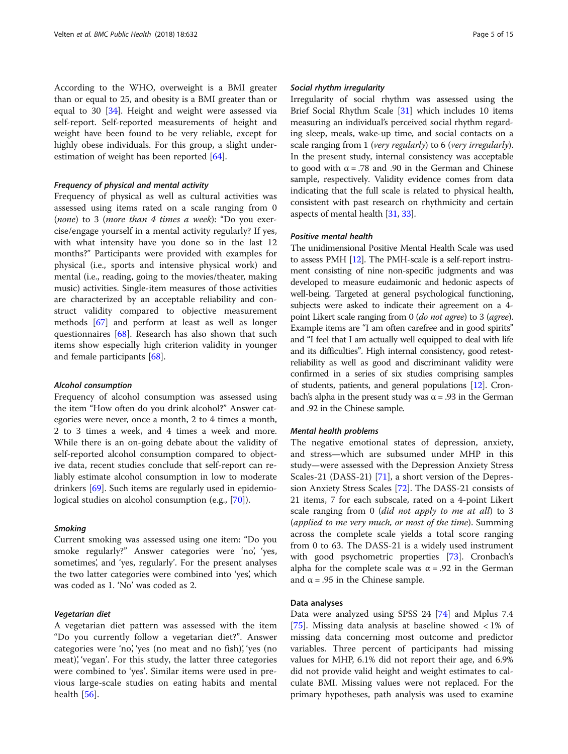According to the WHO, overweight is a BMI greater than or equal to 25, and obesity is a BMI greater than or equal to 30 [[34](#page-13-0)]. Height and weight were assessed via self-report. Self-reported measurements of height and weight have been found to be very reliable, except for highly obese individuals. For this group, a slight underestimation of weight has been reported [\[64\]](#page-13-0).

#### Frequency of physical and mental activity

Frequency of physical as well as cultural activities was assessed using items rated on a scale ranging from 0 (none) to 3 (more than 4 times a week): "Do you exercise/engage yourself in a mental activity regularly? If yes, with what intensity have you done so in the last 12 months?" Participants were provided with examples for physical (i.e., sports and intensive physical work) and mental (i.e., reading, going to the movies/theater, making music) activities. Single-item measures of those activities are characterized by an acceptable reliability and construct validity compared to objective measurement methods [[67](#page-13-0)] and perform at least as well as longer questionnaires [\[68](#page-13-0)]. Research has also shown that such items show especially high criterion validity in younger and female participants [[68](#page-13-0)].

#### Alcohol consumption

Frequency of alcohol consumption was assessed using the item "How often do you drink alcohol?" Answer categories were never, once a month, 2 to 4 times a month, 2 to 3 times a week, and 4 times a week and more. While there is an on-going debate about the validity of self-reported alcohol consumption compared to objective data, recent studies conclude that self-report can reliably estimate alcohol consumption in low to moderate drinkers [\[69](#page-13-0)]. Such items are regularly used in epidemiological studies on alcohol consumption (e.g., [\[70](#page-13-0)]).

#### Smoking

Current smoking was assessed using one item: "Do you smoke regularly?" Answer categories were 'no', 'yes, sometimes', and 'yes, regularly'. For the present analyses the two latter categories were combined into 'yes', which was coded as 1. 'No' was coded as 2.

# Vegetarian diet

A vegetarian diet pattern was assessed with the item "Do you currently follow a vegetarian diet?". Answer categories were 'no', 'yes (no meat and no fish)', 'yes (no meat), 'vegan'. For this study, the latter three categories were combined to 'yes'. Similar items were used in previous large-scale studies on eating habits and mental health  $[56]$  $[56]$ .

# Social rhythm irregularity

Irregularity of social rhythm was assessed using the Brief Social Rhythm Scale [\[31\]](#page-12-0) which includes 10 items measuring an individual's perceived social rhythm regarding sleep, meals, wake-up time, and social contacts on a scale ranging from 1 (very regularly) to 6 (very irregularly). In the present study, internal consistency was acceptable to good with  $\alpha = .78$  and .90 in the German and Chinese sample, respectively. Validity evidence comes from data indicating that the full scale is related to physical health, consistent with past research on rhythmicity and certain aspects of mental health [\[31,](#page-12-0) [33](#page-13-0)].

# Positive mental health

The unidimensional Positive Mental Health Scale was used to assess PMH [\[12\]](#page-12-0). The PMH-scale is a self-report instrument consisting of nine non-specific judgments and was developed to measure eudaimonic and hedonic aspects of well-being. Targeted at general psychological functioning, subjects were asked to indicate their agreement on a 4 point Likert scale ranging from 0 (do not agree) to 3 (agree). Example items are "I am often carefree and in good spirits" and "I feel that I am actually well equipped to deal with life and its difficulties". High internal consistency, good retestreliability as well as good and discriminant validity were confirmed in a series of six studies comprising samples of students, patients, and general populations [\[12\]](#page-12-0). Cronbach's alpha in the present study was α = .93 in the German and .92 in the Chinese sample.

#### Mental health problems

The negative emotional states of depression, anxiety, and stress—which are subsumed under MHP in this study—were assessed with the Depression Anxiety Stress Scales-21 (DASS-21) [\[71](#page-13-0)], a short version of the Depression Anxiety Stress Scales [\[72\]](#page-13-0). The DASS-21 consists of 21 items, 7 for each subscale, rated on a 4-point Likert scale ranging from 0 (did not apply to me at all) to 3 (applied to me very much, or most of the time). Summing across the complete scale yields a total score ranging from 0 to 63. The DASS-21 is a widely used instrument with good psychometric properties [\[73\]](#page-13-0). Cronbach's alpha for the complete scale was  $\alpha$  = .92 in the German and  $\alpha$  = .95 in the Chinese sample.

#### Data analyses

Data were analyzed using SPSS 24 [[74](#page-13-0)] and Mplus 7.4 [[75\]](#page-13-0). Missing data analysis at baseline showed < 1% of missing data concerning most outcome and predictor variables. Three percent of participants had missing values for MHP, 6.1% did not report their age, and 6.9% did not provide valid height and weight estimates to calculate BMI. Missing values were not replaced. For the primary hypotheses, path analysis was used to examine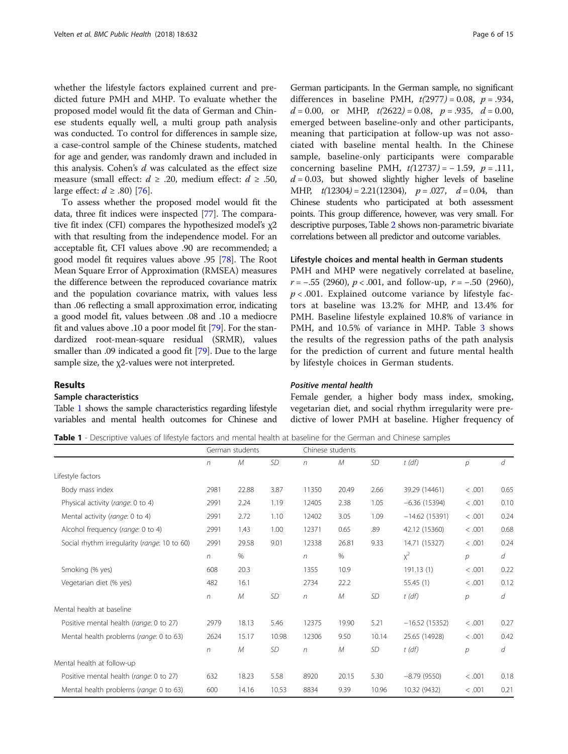whether the lifestyle factors explained current and predicted future PMH and MHP. To evaluate whether the proposed model would fit the data of German and Chinese students equally well, a multi group path analysis was conducted. To control for differences in sample size, a case-control sample of the Chinese students, matched for age and gender, was randomly drawn and included in this analysis. Cohen's  $d$  was calculated as the effect size measure (small effect:  $d \ge .20$ , medium effect:  $d \ge .50$ , large effect:  $d \ge .80$  [[76\]](#page-13-0).

To assess whether the proposed model would fit the data, three fit indices were inspected [\[77\]](#page-13-0). The comparative fit index (CFI) compares the hypothesized model's χ2 with that resulting from the independence model. For an acceptable fit, CFI values above .90 are recommended; a good model fit requires values above .95 [[78](#page-13-0)]. The Root Mean Square Error of Approximation (RMSEA) measures the difference between the reproduced covariance matrix and the population covariance matrix, with values less than .06 reflecting a small approximation error, indicating a good model fit, values between .08 and .10 a mediocre fit and values above .10 a poor model fit [[79](#page-13-0)]. For the standardized root-mean-square residual (SRMR), values smaller than .09 indicated a good fit [\[79](#page-13-0)]. Due to the large sample size, the χ2-values were not interpreted.

# Results

#### Sample characteristics

Table 1 shows the sample characteristics regarding lifestyle variables and mental health outcomes for Chinese and

German participants. In the German sample, no significant differences in baseline PMH,  $t(2977) = 0.08$ ,  $p = .934$ ,  $d = 0.00$ , or MHP,  $t(2622) = 0.08$ ,  $p = .935$ ,  $d = 0.00$ , emerged between baseline-only and other participants, meaning that participation at follow-up was not associated with baseline mental health. In the Chinese sample, baseline-only participants were comparable concerning baseline PMH,  $t(12737) = -1.59$ ,  $p = .111$ ,  $d = 0.03$ , but showed slightly higher levels of baseline MHP,  $t(12304) = 2.21(12304)$ ,  $p = .027$ ,  $d = 0.04$ , than Chinese students who participated at both assessment points. This group difference, however, was very small. For descriptive purposes, Table [2](#page-6-0) shows non-parametric bivariate correlations between all predictor and outcome variables.

# Lifestyle choices and mental health in German students

PMH and MHP were negatively correlated at baseline,  $r = -.55$  (2960),  $p < .001$ , and follow-up,  $r = -.50$  (2960),  $p < .001$ . Explained outcome variance by lifestyle factors at baseline was 13.2% for MHP, and 13.4% for PMH. Baseline lifestyle explained 10.8% of variance in PMH, and 10.5% of variance in MHP. Table [3](#page-6-0) shows the results of the regression paths of the path analysis for the prediction of current and future mental health by lifestyle choices in German students.

# Positive mental health

Female gender, a higher body mass index, smoking, vegetarian diet, and social rhythm irregularity were predictive of lower PMH at baseline. Higher frequency of

Table 1 - Descriptive values of lifestyle factors and mental health at baseline for the German and Chinese samples

|                                              |            | German students |           |            | Chinese students |           |                 |                |      |  |
|----------------------------------------------|------------|-----------------|-----------|------------|------------------|-----------|-----------------|----------------|------|--|
|                                              | $\sqrt{n}$ | M               | SD        | $\sqrt{n}$ | M                | <b>SD</b> | $t$ (df)        | $\mathcal{P}$  | d    |  |
| Lifestyle factors                            |            |                 |           |            |                  |           |                 |                |      |  |
| Body mass index                              | 2981       | 22.88           | 3.87      | 11350      | 20.49            | 2.66      | 39.29 (14461)   | < .001         | 0.65 |  |
| Physical activity (range: 0 to 4)            | 2991       | 2.24            | 1.19      | 12405      | 2.38             | 1.05      | $-6.36(15394)$  | < .001         | 0.10 |  |
| Mental activity (range: 0 to 4)              | 2991       | 2.72            | 1.10      | 12402      | 3.05             | 1.09      | $-14.62(15391)$ | < .001         | 0.24 |  |
| Alcohol frequency (range: 0 to 4)            | 2991       | 1.43            | 1.00      | 12371      | 0.65             | .89       | 42.12 (15360)   | < 0.001        | 0.68 |  |
| Social rhythm irregularity (range: 10 to 60) | 2991       | 29.58           | 9.01      | 12338      | 26.81            | 9.33      | 14.71 (15327)   | < .001         | 0.24 |  |
|                                              | $\sqrt{n}$ | $\%$            |           | n          | %                |           | $x^2$           | р              | d    |  |
| Smoking (% yes)                              | 608        | 20.3            |           | 1355       | 10.9             |           | 191.13(1)       | < .001         | 0.22 |  |
| Vegetarian diet (% yes)                      | 482        | 16.1            |           | 2734       | 22.2             |           | 55.45(1)        | < .001         | 0.12 |  |
|                                              | $\sqrt{n}$ | $\mathcal M$    | <b>SD</b> | n          | M                | <b>SD</b> | $t$ (df)        | р              | d    |  |
| Mental health at baseline                    |            |                 |           |            |                  |           |                 |                |      |  |
| Positive mental health (range: 0 to 27)      | 2979       | 18.13           | 5.46      | 12375      | 19.90            | 5.21      | $-16.52(15352)$ | < .001         | 0.27 |  |
| Mental health problems (range: 0 to 63)      | 2624       | 15.17           | 10.98     | 12306      | 9.50             | 10.14     | 25.65 (14928)   | < .001         | 0.42 |  |
|                                              | $\sqrt{n}$ | М               | SD        | $\sqrt{n}$ | M                | <b>SD</b> | $t$ (df)        | $\overline{p}$ | d    |  |
| Mental health at follow-up                   |            |                 |           |            |                  |           |                 |                |      |  |
| Positive mental health (range: 0 to 27)      | 632        | 18.23           | 5.58      | 8920       | 20.15            | 5.30      | $-8.79(9550)$   | < .001         | 0.18 |  |
| Mental health problems (range: 0 to 63)      | 600        | 14.16           | 10.53     | 8834       | 9.39             | 10.96     | 10.32 (9432)    | < 0.001        | 0.21 |  |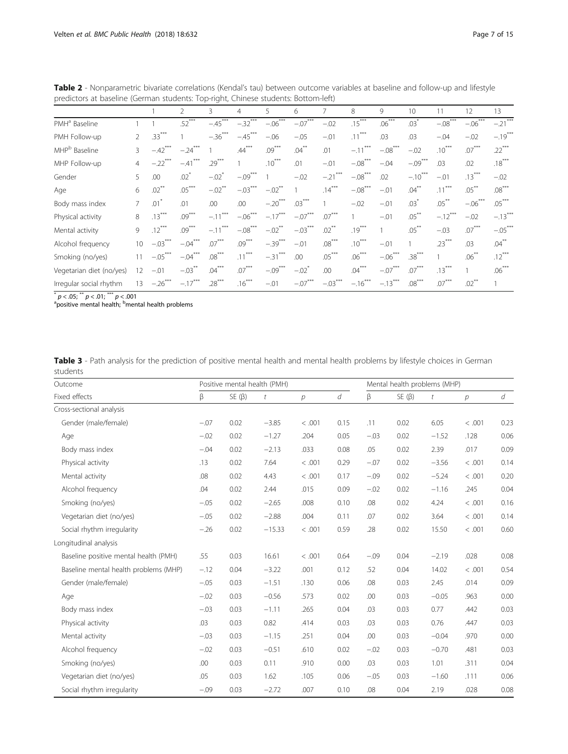| predictors at baseline (German students: Top-right, Chinese students: Bottom-left) |                |           |                     |                       |            |                      |                    |            |            |            |                 |            |           |                      |
|------------------------------------------------------------------------------------|----------------|-----------|---------------------|-----------------------|------------|----------------------|--------------------|------------|------------|------------|-----------------|------------|-----------|----------------------|
|                                                                                    |                |           | 2                   | 3                     | 4          | 5                    | 6                  |            | 8          | 9          | 10 <sup>2</sup> | 11         | 12        | 13                   |
| PMH <sup>a</sup> Baseline                                                          |                |           | $.52***$            | $-.45$ <sup>***</sup> | $-.32***$  | $-.06***$            | $-07***$           | $-.02$     | $.15***$   | $.06***$   | $.03*$          | $-08***$   | $-.06***$ | $-21$ <sup>***</sup> |
| PMH Follow-up                                                                      | 2              | $.33***$  |                     | $-.36***$             | $-.45***$  | $-.06$               | $-.05$             | $-01$      | $.11***$   | .03        | .03             | $-.04$     | $-.02$    | $-19$ <sup>***</sup> |
| MHP <sup>b</sup> Baseline                                                          | 3              | $-42$     | $-.24$ <sup>*</sup> |                       | $.44***$   | $.09***$             | $.04***$           | .01        | $-.11$     | $-.08$ *** | $-.02$          | $.10***$   | $.07***$  | $.22***$             |
| MHP Follow-up                                                                      | $\overline{4}$ | $-.22***$ | $-.41$ ***          | $.29***$              |            | $.10***$             | .01                | $-01$      | $-.08***$  | $-.04$     | $-.09***$       | .03        | .02       | $.18***$             |
| Gender                                                                             | 5              | .00       | $.02*$              | $-02$ <sup>*</sup>    | $-.09***$  |                      | $-.02$             | $-.21$ *** | $-.08***$  | .02        | $-.10***$       | $-.01$     | $.13***$  | $-.02$               |
| Age                                                                                | 6              | $.02***$  | $.05***$            | $-.02$ <sup>**</sup>  | $-.03***$  | $-.02$ <sup>**</sup> |                    | $.14***$   | $-.08$ *** | $-.01$     | $.04***$        | ***<br>.11 | $.05***$  | $.08***$             |
| Body mass index                                                                    | 7              | $.01^*$   | .01                 | .00                   | .00        | $-.20***$            | $.03***$           |            | $-.02$     | $-.01$     | $.03*$          | $.05***$   | $-.06***$ | $.05***$             |
| Physical activity                                                                  | 8              | $.13***$  | $.09***$            | $-.11$ <sup>*</sup>   | $-.06***$  | $-.17***$            | $-.07***$          | $.07***$   |            | $-01$      | $.05***$        | $-.12***$  | $-0.02$   | $-.13***$            |
| Mental activity                                                                    | 9              | $.12***$  | $.09***$            | $-.11$ <sup>'</sup>   | $-.08$ *** | $-.02$ <sup>**</sup> | $-.03***$          | $.02***$   | $.19***$   |            | $.05***$        | $-.03$     | $.07***$  | $-05***$             |
| Alcohol frequency                                                                  | 10             | $-.03***$ | $-.04***$           | $.07***$              | $.09***$   | $-.39***$            | $-.01$             | $.08***$   | $.10***$   | $-.01$     |                 | $.23***$   | .03       | $.04***$             |
| Smoking (no/yes)                                                                   | 11             | $-.05***$ | $-.04***$           | $.08***$              | $.11***$   | $-.31$ ***           | .00                | $.05***$   | $.06***$   | $-.06***$  | $.38***$        |            | $.06***$  | $.12***$             |
| Vegetarian diet (no/yes)                                                           | 12             | $-.01$    | $-03***$            | $.04***$              | $.07***$   | $-.09***$            | $-02$ <sup>*</sup> | .00        | $.04***$   | $-.07***$  | $.07***$        | $.13***$   |           | $.06***$             |
| Irregular social rhythm                                                            | 13             | $-.26***$ | $-.17***$           | $.28***$              | $.16***$   | $-.01$               | $-.07***$          | $-.03***$  | $-.16***$  | $-.13***$  | $.08***$        | $.07***$   | $.02***$  |                      |
|                                                                                    |                |           |                     |                       |            |                      |                    |            |            |            |                 |            |           |                      |

<span id="page-6-0"></span>Table 2 - Nonparametric bivariate correlations (Kendal's tau) between outcome variables at baseline and follow-up and lifestyle predictors at baseline (German students: Top-right, Chinese students: Bottom-left)

 $^*$   $p$  < .05;  $^{\ast\ast}$   $p$  < .01;  $^{\ast\ast}$   $p$  < .001<br><sup>a</sup>positive mental health; <sup>b</sup>mental health problems

|          | Table 3 - Path analysis for the prediction of positive mental health and mental health problems by lifestyle choices in German |  |  |  |  |  |  |  |
|----------|--------------------------------------------------------------------------------------------------------------------------------|--|--|--|--|--|--|--|
| students |                                                                                                                                |  |  |  |  |  |  |  |

| Outcome                               |        |             | Positive mental health (PMH) |        | Mental health problems (MHP) |        |             |         |                |      |
|---------------------------------------|--------|-------------|------------------------------|--------|------------------------------|--------|-------------|---------|----------------|------|
| Fixed effects                         | β      | $SE(\beta)$ | t                            | р      | d                            | β      | $SE(\beta)$ | t       | $\overline{p}$ | d    |
| Cross-sectional analysis              |        |             |                              |        |                              |        |             |         |                |      |
| Gender (male/female)                  | $-.07$ | 0.02        | $-3.85$                      | < .001 | 0.15                         | .11    | 0.02        | 6.05    | < .001         | 0.23 |
| Age                                   | $-.02$ | 0.02        | $-1.27$                      | .204   | 0.05                         | $-.03$ | 0.02        | $-1.52$ | .128           | 0.06 |
| Body mass index                       | $-.04$ | 0.02        | $-2.13$                      | .033   | 0.08                         | .05    | 0.02        | 2.39    | .017           | 0.09 |
| Physical activity                     | .13    | 0.02        | 7.64                         | < .001 | 0.29                         | $-.07$ | 0.02        | $-3.56$ | < .001         | 0.14 |
| Mental activity                       | .08    | 0.02        | 4.43                         | < .001 | 0.17                         | $-.09$ | 0.02        | $-5.24$ | < .001         | 0.20 |
| Alcohol frequency                     | .04    | 0.02        | 2.44                         | .015   | 0.09                         | $-.02$ | 0.02        | $-1.16$ | .245           | 0.04 |
| Smoking (no/yes)                      | $-.05$ | 0.02        | $-2.65$                      | .008   | 0.10                         | .08    | 0.02        | 4.24    | < .001         | 0.16 |
| Vegetarian diet (no/yes)              | $-.05$ | 0.02        | $-2.88$                      | .004   | 0.11                         | .07    | 0.02        | 3.64    | < .001         | 0.14 |
| Social rhythm irregularity            | $-.26$ | 0.02        | $-15.33$                     | < .001 | 0.59                         | .28    | 0.02        | 15.50   | < .001         | 0.60 |
| Longitudinal analysis                 |        |             |                              |        |                              |        |             |         |                |      |
| Baseline positive mental health (PMH) | .55    | 0.03        | 16.61                        | < .001 | 0.64                         | $-.09$ | 0.04        | $-2.19$ | .028           | 0.08 |
| Baseline mental health problems (MHP) | $-.12$ | 0.04        | $-3.22$                      | .001   | 0.12                         | .52    | 0.04        | 14.02   | < .001         | 0.54 |
| Gender (male/female)                  | $-.05$ | 0.03        | $-1.51$                      | .130   | 0.06                         | .08    | 0.03        | 2.45    | .014           | 0.09 |
| Age                                   | $-.02$ | 0.03        | $-0.56$                      | .573   | 0.02                         | .00    | 0.03        | $-0.05$ | .963           | 0.00 |
| Body mass index                       | $-.03$ | 0.03        | $-1.11$                      | .265   | 0.04                         | .03    | 0.03        | 0.77    | .442           | 0.03 |
| Physical activity                     | .03    | 0.03        | 0.82                         | .414   | 0.03                         | .03    | 0.03        | 0.76    | .447           | 0.03 |
| Mental activity                       | $-.03$ | 0.03        | $-1.15$                      | .251   | 0.04                         | .00    | 0.03        | $-0.04$ | .970           | 0.00 |
| Alcohol frequency                     | $-.02$ | 0.03        | $-0.51$                      | .610   | 0.02                         | $-.02$ | 0.03        | $-0.70$ | .481           | 0.03 |
| Smoking (no/yes)                      | .00    | 0.03        | 0.11                         | .910   | 0.00                         | .03    | 0.03        | 1.01    | .311           | 0.04 |
| Vegetarian diet (no/yes)              | .05    | 0.03        | 1.62                         | .105   | 0.06                         | $-.05$ | 0.03        | $-1.60$ | .111           | 0.06 |
| Social rhythm irregularity            | $-.09$ | 0.03        | $-2.72$                      | .007   | 0.10                         | .08    | 0.04        | 2.19    | .028           | 0.08 |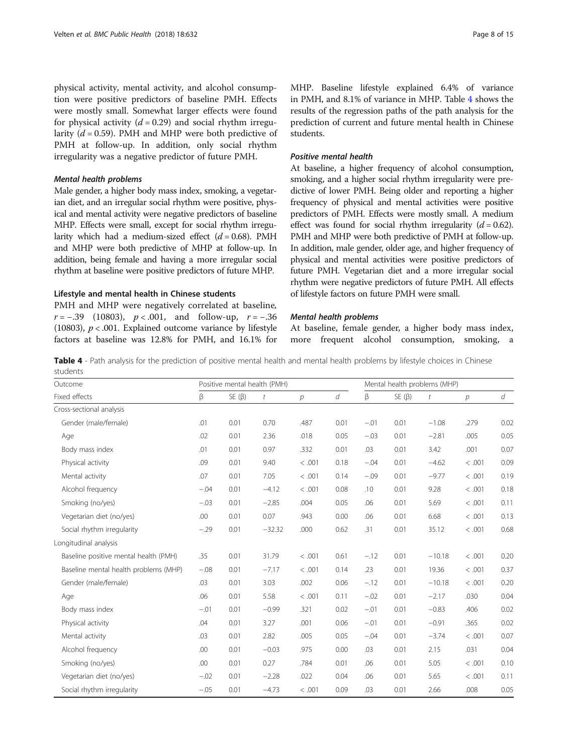physical activity, mental activity, and alcohol consumption were positive predictors of baseline PMH. Effects were mostly small. Somewhat larger effects were found for physical activity  $(d = 0.29)$  and social rhythm irregularity ( $d = 0.59$ ). PMH and MHP were both predictive of PMH at follow-up. In addition, only social rhythm irregularity was a negative predictor of future PMH.

#### Mental health problems

Male gender, a higher body mass index, smoking, a vegetarian diet, and an irregular social rhythm were positive, physical and mental activity were negative predictors of baseline MHP. Effects were small, except for social rhythm irregularity which had a medium-sized effect  $(d = 0.68)$ . PMH and MHP were both predictive of MHP at follow-up. In addition, being female and having a more irregular social rhythm at baseline were positive predictors of future MHP.

#### Lifestyle and mental health in Chinese students

PMH and MHP were negatively correlated at baseline,  $r = -.39$  (10803),  $p < .001$ , and follow-up,  $r = -.36$ (10803),  $p < .001$ . Explained outcome variance by lifestyle factors at baseline was 12.8% for PMH, and 16.1% for MHP. Baseline lifestyle explained 6.4% of variance in PMH, and 8.1% of variance in MHP. Table 4 shows the results of the regression paths of the path analysis for the prediction of current and future mental health in Chinese students.

# Positive mental health

At baseline, a higher frequency of alcohol consumption, smoking, and a higher social rhythm irregularity were predictive of lower PMH. Being older and reporting a higher frequency of physical and mental activities were positive predictors of PMH. Effects were mostly small. A medium effect was found for social rhythm irregularity  $(d = 0.62)$ . PMH and MHP were both predictive of PMH at follow-up. In addition, male gender, older age, and higher frequency of physical and mental activities were positive predictors of future PMH. Vegetarian diet and a more irregular social rhythm were negative predictors of future PMH. All effects of lifestyle factors on future PMH were small.

# Mental health problems

At baseline, female gender, a higher body mass index, more frequent alcohol consumption, smoking, a

Table 4 - Path analysis for the prediction of positive mental health and mental health problems by lifestyle choices in Chinese students

| Outcome                               |        |             | Positive mental health (PMH) |                | Mental health problems (MHP) |        |             |          |               |      |
|---------------------------------------|--------|-------------|------------------------------|----------------|------------------------------|--------|-------------|----------|---------------|------|
| Fixed effects                         | β      | $SE(\beta)$ | t                            | $\overline{p}$ | d                            | β      | $SE(\beta)$ | t        | $\mathcal{P}$ | d    |
| Cross-sectional analysis              |        |             |                              |                |                              |        |             |          |               |      |
| Gender (male/female)                  | .01    | 0.01        | 0.70                         | .487           | 0.01                         | $-.01$ | 0.01        | $-1.08$  | .279          | 0.02 |
| Age                                   | .02    | 0.01        | 2.36                         | .018           | 0.05                         | $-.03$ | 0.01        | $-2.81$  | .005          | 0.05 |
| Body mass index                       | .01    | 0.01        | 0.97                         | .332           | 0.01                         | .03    | 0.01        | 3.42     | .001          | 0.07 |
| Physical activity                     | .09    | 0.01        | 9.40                         | < .001         | 0.18                         | $-.04$ | 0.01        | $-4.62$  | < .001        | 0.09 |
| Mental activity                       | .07    | 0.01        | 7.05                         | < .001         | 0.14                         | $-.09$ | 0.01        | $-9.77$  | < .001        | 0.19 |
| Alcohol frequency                     | $-.04$ | 0.01        | $-4.12$                      | < .001         | 0.08                         | .10    | 0.01        | 9.28     | < .001        | 0.18 |
| Smoking (no/yes)                      | $-.03$ | 0.01        | $-2.85$                      | .004           | 0.05                         | .06    | 0.01        | 5.69     | < .001        | 0.11 |
| Vegetarian diet (no/yes)              | .00    | 0.01        | 0.07                         | .943           | 0.00                         | .06    | 0.01        | 6.68     | < .001        | 0.13 |
| Social rhythm irregularity            | $-.29$ | 0.01        | $-32.32$                     | .000           | 0.62                         | .31    | 0.01        | 35.12    | < .001        | 0.68 |
| Longitudinal analysis                 |        |             |                              |                |                              |        |             |          |               |      |
| Baseline positive mental health (PMH) | .35    | 0.01        | 31.79                        | < .001         | 0.61                         | $-.12$ | 0.01        | $-10.18$ | < .001        | 0.20 |
| Baseline mental health problems (MHP) | $-.08$ | 0.01        | $-7.17$                      | < .001         | 0.14                         | .23    | 0.01        | 19.36    | < .001        | 0.37 |
| Gender (male/female)                  | .03    | 0.01        | 3.03                         | .002           | 0.06                         | $-.12$ | 0.01        | $-10.18$ | < .001        | 0.20 |
| Age                                   | .06    | 0.01        | 5.58                         | < .001         | 0.11                         | $-.02$ | 0.01        | $-2.17$  | .030          | 0.04 |
| Body mass index                       | $-.01$ | 0.01        | $-0.99$                      | .321           | 0.02                         | $-.01$ | 0.01        | $-0.83$  | .406          | 0.02 |
| Physical activity                     | .04    | 0.01        | 3.27                         | .001           | 0.06                         | $-.01$ | 0.01        | $-0.91$  | .365          | 0.02 |
| Mental activity                       | .03    | 0.01        | 2.82                         | .005           | 0.05                         | $-.04$ | 0.01        | $-3.74$  | < .001        | 0.07 |
| Alcohol frequency                     | .00    | 0.01        | $-0.03$                      | .975           | 0.00                         | .03    | 0.01        | 2.15     | .031          | 0.04 |
| Smoking (no/yes)                      | .00    | 0.01        | 0.27                         | .784           | 0.01                         | .06    | 0.01        | 5.05     | < .001        | 0.10 |
| Vegetarian diet (no/yes)              | $-.02$ | 0.01        | $-2.28$                      | .022           | 0.04                         | .06    | 0.01        | 5.65     | < .001        | 0.11 |
| Social rhythm irregularity            | $-.05$ | 0.01        | $-4.73$                      | < .001         | 0.09                         | .03    | 0.01        | 2.66     | .008          | 0.05 |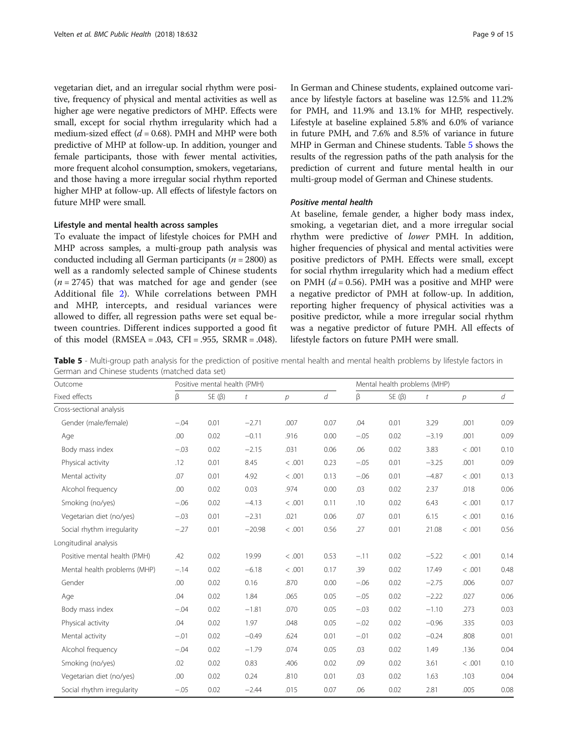vegetarian diet, and an irregular social rhythm were positive, frequency of physical and mental activities as well as higher age were negative predictors of MHP. Effects were small, except for social rhythm irregularity which had a medium-sized effect  $(d = 0.68)$ . PMH and MHP were both predictive of MHP at follow-up. In addition, younger and female participants, those with fewer mental activities, more frequent alcohol consumption, smokers, vegetarians, and those having a more irregular social rhythm reported higher MHP at follow-up. All effects of lifestyle factors on future MHP were small.

#### Lifestyle and mental health across samples

To evaluate the impact of lifestyle choices for PMH and MHP across samples, a multi-group path analysis was conducted including all German participants ( $n = 2800$ ) as well as a randomly selected sample of Chinese students  $(n = 2745)$  that was matched for age and gender (see Additional file [2](#page-11-0)). While correlations between PMH and MHP, intercepts, and residual variances were allowed to differ, all regression paths were set equal between countries. Different indices supported a good fit of this model (RMSEA = .043, CFI = .955, SRMR = .048). In German and Chinese students, explained outcome variance by lifestyle factors at baseline was 12.5% and 11.2% for PMH, and 11.9% and 13.1% for MHP, respectively. Lifestyle at baseline explained 5.8% and 6.0% of variance in future PMH, and 7.6% and 8.5% of variance in future MHP in German and Chinese students. Table 5 shows the results of the regression paths of the path analysis for the prediction of current and future mental health in our multi-group model of German and Chinese students.

# Positive mental health

At baseline, female gender, a higher body mass index, smoking, a vegetarian diet, and a more irregular social rhythm were predictive of lower PMH. In addition, higher frequencies of physical and mental activities were positive predictors of PMH. Effects were small, except for social rhythm irregularity which had a medium effect on PMH ( $d = 0.56$ ). PMH was a positive and MHP were a negative predictor of PMH at follow-up. In addition, reporting higher frequency of physical activities was a positive predictor, while a more irregular social rhythm was a negative predictor of future PMH. All effects of lifestyle factors on future PMH were small.

Table 5 - Multi-group path analysis for the prediction of positive mental health and mental health problems by lifestyle factors in German and Chinese students (matched data set)

| Outcome                      |        | Positive mental health (PMH) |                  |        | Mental health problems (MHP) |        |             |                  |                |      |  |
|------------------------------|--------|------------------------------|------------------|--------|------------------------------|--------|-------------|------------------|----------------|------|--|
| Fixed effects                | β      | $SE(\beta)$                  | $\boldsymbol{t}$ | p      | d                            | β      | $SE(\beta)$ | $\boldsymbol{t}$ | $\overline{p}$ | d    |  |
| Cross-sectional analysis     |        |                              |                  |        |                              |        |             |                  |                |      |  |
| Gender (male/female)         | $-.04$ | 0.01                         | $-2.71$          | .007   | 0.07                         | .04    | 0.01        | 3.29             | .001           | 0.09 |  |
| Age                          | .00    | 0.02                         | $-0.11$          | .916   | 0.00                         | $-.05$ | 0.02        | $-3.19$          | .001           | 0.09 |  |
| Body mass index              | $-.03$ | 0.02                         | $-2.15$          | .031   | 0.06                         | .06    | 0.02        | 3.83             | < .001         | 0.10 |  |
| Physical activity            | .12    | 0.01                         | 8.45             | < .001 | 0.23                         | $-.05$ | 0.01        | $-3.25$          | .001           | 0.09 |  |
| Mental activity              | .07    | 0.01                         | 4.92             | < .001 | 0.13                         | $-.06$ | 0.01        | $-4.87$          | < .001         | 0.13 |  |
| Alcohol frequency            | .00    | 0.02                         | 0.03             | .974   | 0.00                         | .03    | 0.02        | 2.37             | .018           | 0.06 |  |
| Smoking (no/yes)             | $-.06$ | 0.02                         | $-4.13$          | < .001 | 0.11                         | .10    | 0.02        | 6.43             | < .001         | 0.17 |  |
| Vegetarian diet (no/yes)     | $-.03$ | 0.01                         | $-2.31$          | .021   | 0.06                         | .07    | 0.01        | 6.15             | < .001         | 0.16 |  |
| Social rhythm irregularity   | $-.27$ | 0.01                         | $-20.98$         | < .001 | 0.56                         | .27    | 0.01        | 21.08            | < .001         | 0.56 |  |
| Longitudinal analysis        |        |                              |                  |        |                              |        |             |                  |                |      |  |
| Positive mental health (PMH) | .42    | 0.02                         | 19.99            | < .001 | 0.53                         | $-.11$ | 0.02        | $-5.22$          | < .001         | 0.14 |  |
| Mental health problems (MHP) | $-.14$ | 0.02                         | $-6.18$          | < .001 | 0.17                         | .39    | 0.02        | 17.49            | < .001         | 0.48 |  |
| Gender                       | .00    | 0.02                         | 0.16             | .870   | 0.00                         | $-.06$ | 0.02        | $-2.75$          | .006           | 0.07 |  |
| Age                          | .04    | 0.02                         | 1.84             | .065   | 0.05                         | $-.05$ | 0.02        | $-2.22$          | .027           | 0.06 |  |
| Body mass index              | $-.04$ | 0.02                         | $-1.81$          | .070   | 0.05                         | $-.03$ | 0.02        | $-1.10$          | .273           | 0.03 |  |
| Physical activity            | .04    | 0.02                         | 1.97             | .048   | 0.05                         | $-.02$ | 0.02        | $-0.96$          | .335           | 0.03 |  |
| Mental activity              | $-.01$ | 0.02                         | $-0.49$          | .624   | 0.01                         | $-.01$ | 0.02        | $-0.24$          | .808           | 0.01 |  |
| Alcohol frequency            | $-.04$ | 0.02                         | $-1.79$          | .074   | 0.05                         | .03    | 0.02        | 1.49             | .136           | 0.04 |  |
| Smoking (no/yes)             | .02    | 0.02                         | 0.83             | .406   | 0.02                         | .09    | 0.02        | 3.61             | < .001         | 0.10 |  |
| Vegetarian diet (no/yes)     | .00    | 0.02                         | 0.24             | .810   | 0.01                         | .03    | 0.02        | 1.63             | .103           | 0.04 |  |
| Social rhythm irregularity   | $-.05$ | 0.02                         | $-2.44$          | .015   | 0.07                         | .06    | 0.02        | 2.81             | .005           | 0.08 |  |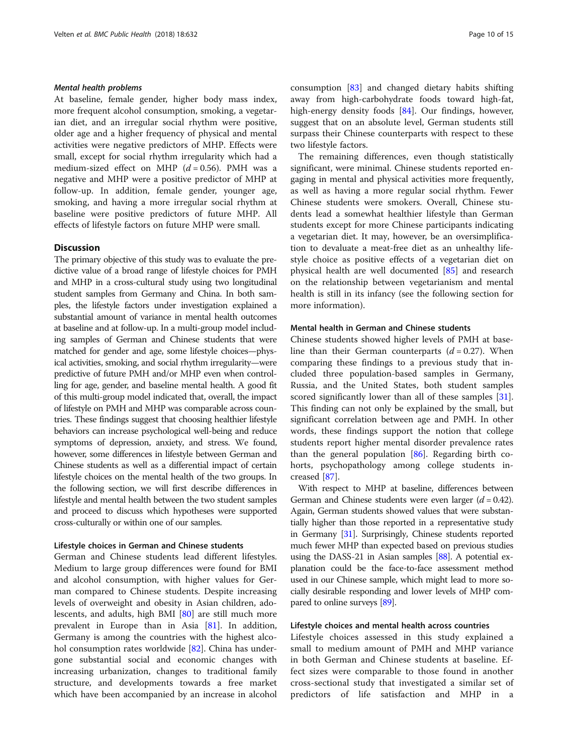# Mental health problems

At baseline, female gender, higher body mass index, more frequent alcohol consumption, smoking, a vegetarian diet, and an irregular social rhythm were positive, older age and a higher frequency of physical and mental activities were negative predictors of MHP. Effects were small, except for social rhythm irregularity which had a medium-sized effect on MHP  $(d = 0.56)$ . PMH was a negative and MHP were a positive predictor of MHP at follow-up. In addition, female gender, younger age, smoking, and having a more irregular social rhythm at baseline were positive predictors of future MHP. All effects of lifestyle factors on future MHP were small.

# **Discussion**

The primary objective of this study was to evaluate the predictive value of a broad range of lifestyle choices for PMH and MHP in a cross-cultural study using two longitudinal student samples from Germany and China. In both samples, the lifestyle factors under investigation explained a substantial amount of variance in mental health outcomes at baseline and at follow-up. In a multi-group model including samples of German and Chinese students that were matched for gender and age, some lifestyle choices—physical activities, smoking, and social rhythm irregularity—were predictive of future PMH and/or MHP even when controlling for age, gender, and baseline mental health. A good fit of this multi-group model indicated that, overall, the impact of lifestyle on PMH and MHP was comparable across countries. These findings suggest that choosing healthier lifestyle behaviors can increase psychological well-being and reduce symptoms of depression, anxiety, and stress. We found, however, some differences in lifestyle between German and Chinese students as well as a differential impact of certain lifestyle choices on the mental health of the two groups. In the following section, we will first describe differences in lifestyle and mental health between the two student samples and proceed to discuss which hypotheses were supported cross-culturally or within one of our samples.

# Lifestyle choices in German and Chinese students

German and Chinese students lead different lifestyles. Medium to large group differences were found for BMI and alcohol consumption, with higher values for German compared to Chinese students. Despite increasing levels of overweight and obesity in Asian children, adolescents, and adults, high BMI [[80\]](#page-13-0) are still much more prevalent in Europe than in Asia [[81\]](#page-13-0). In addition, Germany is among the countries with the highest alcohol consumption rates worldwide [[82\]](#page-13-0). China has undergone substantial social and economic changes with increasing urbanization, changes to traditional family structure, and developments towards a free market which have been accompanied by an increase in alcohol consumption [\[83\]](#page-13-0) and changed dietary habits shifting away from high-carbohydrate foods toward high-fat, high-energy density foods [[84\]](#page-13-0). Our findings, however, suggest that on an absolute level, German students still surpass their Chinese counterparts with respect to these two lifestyle factors.

The remaining differences, even though statistically significant, were minimal. Chinese students reported engaging in mental and physical activities more frequently, as well as having a more regular social rhythm. Fewer Chinese students were smokers. Overall, Chinese students lead a somewhat healthier lifestyle than German students except for more Chinese participants indicating a vegetarian diet. It may, however, be an oversimplification to devaluate a meat-free diet as an unhealthy lifestyle choice as positive effects of a vegetarian diet on physical health are well documented [[85](#page-13-0)] and research on the relationship between vegetarianism and mental health is still in its infancy (see the following section for more information).

# Mental health in German and Chinese students

Chinese students showed higher levels of PMH at baseline than their German counterparts  $(d = 0.27)$ . When comparing these findings to a previous study that included three population-based samples in Germany, Russia, and the United States, both student samples scored significantly lower than all of these samples [\[31](#page-12-0)]. This finding can not only be explained by the small, but significant correlation between age and PMH. In other words, these findings support the notion that college students report higher mental disorder prevalence rates than the general population [[86\]](#page-13-0). Regarding birth cohorts, psychopathology among college students increased [\[87](#page-14-0)].

With respect to MHP at baseline, differences between German and Chinese students were even larger  $(d = 0.42)$ . Again, German students showed values that were substantially higher than those reported in a representative study in Germany [[31\]](#page-12-0). Surprisingly, Chinese students reported much fewer MHP than expected based on previous studies using the DASS-21 in Asian samples [\[88](#page-14-0)]. A potential explanation could be the face-to-face assessment method used in our Chinese sample, which might lead to more socially desirable responding and lower levels of MHP compared to online surveys [\[89\]](#page-14-0).

#### Lifestyle choices and mental health across countries

Lifestyle choices assessed in this study explained a small to medium amount of PMH and MHP variance in both German and Chinese students at baseline. Effect sizes were comparable to those found in another cross-sectional study that investigated a similar set of predictors of life satisfaction and MHP in a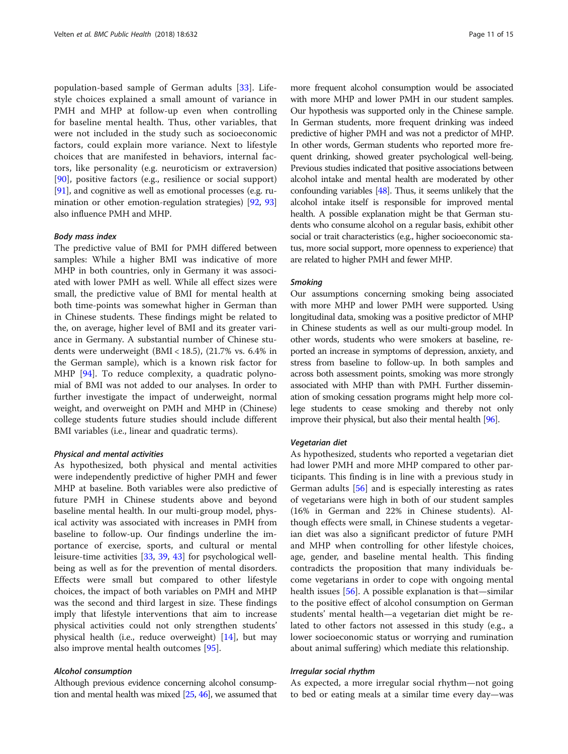population-based sample of German adults [\[33](#page-13-0)]. Lifestyle choices explained a small amount of variance in PMH and MHP at follow-up even when controlling for baseline mental health. Thus, other variables, that were not included in the study such as socioeconomic factors, could explain more variance. Next to lifestyle choices that are manifested in behaviors, internal factors, like personality (e.g. neuroticism or extraversion) [[90\]](#page-14-0), positive factors (e.g., resilience or social support) [[91](#page-14-0)], and cognitive as well as emotional processes (e.g. rumination or other emotion-regulation strategies) [\[92,](#page-14-0) [93](#page-14-0)] also influence PMH and MHP.

#### Body mass index

The predictive value of BMI for PMH differed between samples: While a higher BMI was indicative of more MHP in both countries, only in Germany it was associated with lower PMH as well. While all effect sizes were small, the predictive value of BMI for mental health at both time-points was somewhat higher in German than in Chinese students. These findings might be related to the, on average, higher level of BMI and its greater variance in Germany. A substantial number of Chinese students were underweight (BMI < 18.5), (21.7% vs. 6.4% in the German sample), which is a known risk factor for MHP [[94\]](#page-14-0). To reduce complexity, a quadratic polynomial of BMI was not added to our analyses. In order to further investigate the impact of underweight, normal weight, and overweight on PMH and MHP in (Chinese) college students future studies should include different BMI variables (i.e., linear and quadratic terms).

#### Physical and mental activities

As hypothesized, both physical and mental activities were independently predictive of higher PMH and fewer MHP at baseline. Both variables were also predictive of future PMH in Chinese students above and beyond baseline mental health. In our multi-group model, physical activity was associated with increases in PMH from baseline to follow-up. Our findings underline the importance of exercise, sports, and cultural or mental leisure-time activities [[33](#page-13-0), [39,](#page-13-0) [43](#page-13-0)] for psychological wellbeing as well as for the prevention of mental disorders. Effects were small but compared to other lifestyle choices, the impact of both variables on PMH and MHP was the second and third largest in size. These findings imply that lifestyle interventions that aim to increase physical activities could not only strengthen students' physical health (i.e., reduce overweight) [[14\]](#page-12-0), but may also improve mental health outcomes [[95\]](#page-14-0).

#### Alcohol consumption

Although previous evidence concerning alcohol consumption and mental health was mixed [[25,](#page-12-0) [46\]](#page-13-0), we assumed that

more frequent alcohol consumption would be associated with more MHP and lower PMH in our student samples. Our hypothesis was supported only in the Chinese sample. In German students, more frequent drinking was indeed predictive of higher PMH and was not a predictor of MHP. In other words, German students who reported more frequent drinking, showed greater psychological well-being. Previous studies indicated that positive associations between alcohol intake and mental health are moderated by other confounding variables [[48\]](#page-13-0). Thus, it seems unlikely that the alcohol intake itself is responsible for improved mental health. A possible explanation might be that German students who consume alcohol on a regular basis, exhibit other social or trait characteristics (e.g., higher socioeconomic status, more social support, more openness to experience) that are related to higher PMH and fewer MHP.

#### Smoking

Our assumptions concerning smoking being associated with more MHP and lower PMH were supported. Using longitudinal data, smoking was a positive predictor of MHP in Chinese students as well as our multi-group model. In other words, students who were smokers at baseline, reported an increase in symptoms of depression, anxiety, and stress from baseline to follow-up. In both samples and across both assessment points, smoking was more strongly associated with MHP than with PMH. Further dissemination of smoking cessation programs might help more college students to cease smoking and thereby not only improve their physical, but also their mental health [[96](#page-14-0)].

#### Vegetarian diet

As hypothesized, students who reported a vegetarian diet had lower PMH and more MHP compared to other participants. This finding is in line with a previous study in German adults [[56\]](#page-13-0) and is especially interesting as rates of vegetarians were high in both of our student samples (16% in German and 22% in Chinese students). Although effects were small, in Chinese students a vegetarian diet was also a significant predictor of future PMH and MHP when controlling for other lifestyle choices, age, gender, and baseline mental health. This finding contradicts the proposition that many individuals become vegetarians in order to cope with ongoing mental health issues [[56](#page-13-0)]. A possible explanation is that—similar to the positive effect of alcohol consumption on German students' mental health—a vegetarian diet might be related to other factors not assessed in this study (e.g., a lower socioeconomic status or worrying and rumination about animal suffering) which mediate this relationship.

#### Irregular social rhythm

As expected, a more irregular social rhythm—not going to bed or eating meals at a similar time every day—was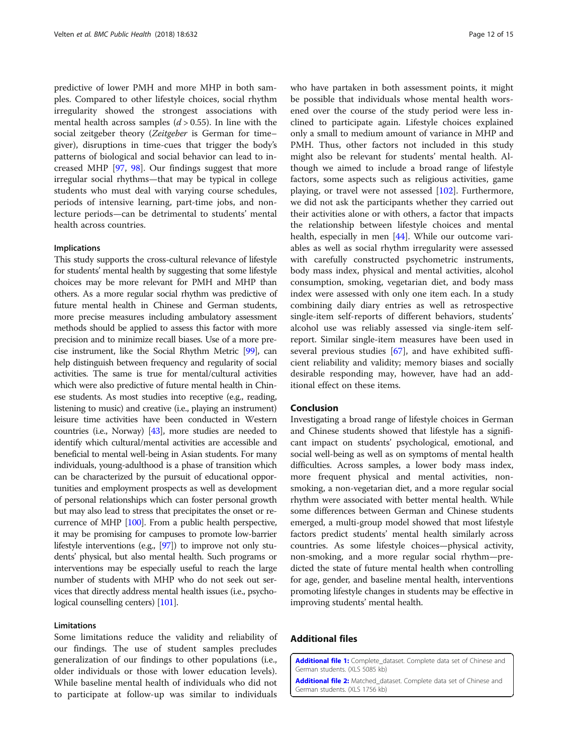<span id="page-11-0"></span>predictive of lower PMH and more MHP in both samples. Compared to other lifestyle choices, social rhythm irregularity showed the strongest associations with mental health across samples  $(d > 0.55)$ . In line with the social zeitgeber theory (Zeitgeber is German for time– giver), disruptions in time-cues that trigger the body's patterns of biological and social behavior can lead to increased MHP [\[97,](#page-14-0) [98](#page-14-0)]. Our findings suggest that more irregular social rhythms—that may be typical in college students who must deal with varying course schedules, periods of intensive learning, part-time jobs, and nonlecture periods—can be detrimental to students' mental health across countries.

#### Implications

This study supports the cross-cultural relevance of lifestyle for students' mental health by suggesting that some lifestyle choices may be more relevant for PMH and MHP than others. As a more regular social rhythm was predictive of future mental health in Chinese and German students, more precise measures including ambulatory assessment methods should be applied to assess this factor with more precision and to minimize recall biases. Use of a more precise instrument, like the Social Rhythm Metric [[99](#page-14-0)], can help distinguish between frequency and regularity of social activities. The same is true for mental/cultural activities which were also predictive of future mental health in Chinese students. As most studies into receptive (e.g., reading, listening to music) and creative (i.e., playing an instrument) leisure time activities have been conducted in Western countries (i.e., Norway) [\[43\]](#page-13-0), more studies are needed to identify which cultural/mental activities are accessible and beneficial to mental well-being in Asian students. For many individuals, young-adulthood is a phase of transition which can be characterized by the pursuit of educational opportunities and employment prospects as well as development of personal relationships which can foster personal growth but may also lead to stress that precipitates the onset or recurrence of MHP [\[100](#page-14-0)]. From a public health perspective, it may be promising for campuses to promote low-barrier lifestyle interventions (e.g., [[97](#page-14-0)]) to improve not only students' physical, but also mental health. Such programs or interventions may be especially useful to reach the large number of students with MHP who do not seek out services that directly address mental health issues (i.e., psychological counselling centers) [\[101](#page-14-0)].

# Limitations

Some limitations reduce the validity and reliability of our findings. The use of student samples precludes generalization of our findings to other populations (i.e., older individuals or those with lower education levels). While baseline mental health of individuals who did not to participate at follow-up was similar to individuals who have partaken in both assessment points, it might be possible that individuals whose mental health worsened over the course of the study period were less inclined to participate again. Lifestyle choices explained only a small to medium amount of variance in MHP and PMH. Thus, other factors not included in this study might also be relevant for students' mental health. Although we aimed to include a broad range of lifestyle factors, some aspects such as religious activities, game playing, or travel were not assessed [[102](#page-14-0)]. Furthermore, we did not ask the participants whether they carried out their activities alone or with others, a factor that impacts the relationship between lifestyle choices and mental health, especially in men [[44\]](#page-13-0). While our outcome variables as well as social rhythm irregularity were assessed with carefully constructed psychometric instruments, body mass index, physical and mental activities, alcohol consumption, smoking, vegetarian diet, and body mass index were assessed with only one item each. In a study combining daily diary entries as well as retrospective single-item self-reports of different behaviors, students' alcohol use was reliably assessed via single-item selfreport. Similar single-item measures have been used in several previous studies [[67](#page-13-0)], and have exhibited sufficient reliability and validity; memory biases and socially desirable responding may, however, have had an additional effect on these items.

# Conclusion

Investigating a broad range of lifestyle choices in German and Chinese students showed that lifestyle has a significant impact on students' psychological, emotional, and social well-being as well as on symptoms of mental health difficulties. Across samples, a lower body mass index, more frequent physical and mental activities, nonsmoking, a non-vegetarian diet, and a more regular social rhythm were associated with better mental health. While some differences between German and Chinese students emerged, a multi-group model showed that most lifestyle factors predict students' mental health similarly across countries. As some lifestyle choices—physical activity, non-smoking, and a more regular social rhythm—predicted the state of future mental health when controlling for age, gender, and baseline mental health, interventions promoting lifestyle changes in students may be effective in improving students' mental health.

# Additional files

[Additional file 1:](https://doi.org/10.1186/s12889-018-5526-2) Complete\_dataset. Complete data set of Chinese and German students. (XLS 5085 kb)

[Additional file 2:](https://doi.org/10.1186/s12889-018-5526-2) Matched\_dataset. Complete data set of Chinese and German students. (XLS 1756 kb)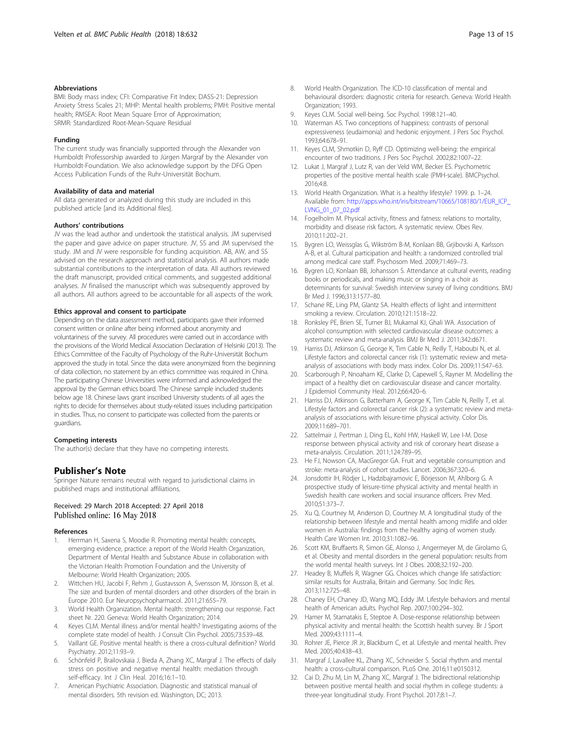#### <span id="page-12-0"></span>Abbreviations

BMI: Body mass index; CFI: Comparative Fit Index; DASS-21: Depression Anxiety Stress Scales 21; MHP: Mental health problems; PMH: Positive mental health; RMSEA: Root Mean Square Error of Approximation; SRMR: Standardized Root-Mean-Square Residual

#### Funding

The current study was financially supported through the Alexander von Humboldt Professorship awarded to Jürgen Margraf by the Alexander von Humboldt-Foundation. We also acknowledge support by the DFG Open Access Publication Funds of the Ruhr-Universität Bochum.

#### Availability of data and material

All data generated or analyzed during this study are included in this published article [and its Additional files].

#### Authors' contributions

JV was the lead author and undertook the statistical analysis. JM supervised the paper and gave advice on paper structure. JV, SS and JM supervised the study. JM and JV were responsible for funding acquisition. AB, AW, and SS advised on the research approach and statistical analysis. All authors made substantial contributions to the interpretation of data. All authors reviewed the draft manuscript, provided critical comments, and suggested additional analyses. JV finalised the manuscript which was subsequently approved by all authors. All authors agreed to be accountable for all aspects of the work.

#### Ethics approval and consent to participate

Depending on the data assessment method, participants gave their informed consent written or online after being informed about anonymity and voluntariness of the survey. All procedures were carried out in accordance with the provisions of the World Medical Association Declaration of Helsinki (2013). The Ethics Committee of the Faculty of Psychology of the Ruhr-Universität Bochum approved the study in total. Since the data were anonymized from the beginning of data collection, no statement by an ethics committee was required in China. The participating Chinese Universities were informed and acknowledged the approval by the German ethics board. The Chinese sample included students below age 18. Chinese laws grant inscribed University students of all ages the rights to decide for themselves about study-related issues including participation in studies. Thus, no consent to participate was collected from the parents or guardians.

#### Competing interests

The author(s) declare that they have no competing interests.

#### Publisher's Note

Springer Nature remains neutral with regard to jurisdictional claims in published maps and institutional affiliations.

# Received: 29 March 2018 Accepted: 27 April 2018 Published online: 16 May 2018

#### References

- Herrman H, Saxena S, Moodie R. Promoting mental health: concepts, emerging evidence, practice: a report of the World Health Organization, Department of Mental Health and Substance Abuse in collaboration with the Victorian Health Promotion Foundation and the University of Melbourne: World Health Organization; 2005.
- 2. Wittchen HU, Jacobi F, Rehm J, Gustavsson A, Svensson M, Jönsson B, et al. The size and burden of mental disorders and other disorders of the brain in Europe 2010. Eur Neuropsychopharmacol. 2011;21:655–79.
- 3. World Health Organization. Mental health: strengthening our response. Fact sheet Nr. 220. Geneva: World Health Organization; 2014.
- 4. Keyes CLM. Mental illness and/or mental health? Investigating axioms of the complete state model of health. J Consult Clin Psychol. 2005;73:539–48.
- 5. Vaillant GE. Positive mental health: is there a cross-cultural definition? World Psychiatry. 2012;11:93–9.
- Schönfeld P, Brailovskaia J, Bieda A, Zhang XC, Margraf J. The effects of daily stress on positive and negative mental health: mediation through self-efficacy. Int J Clin Heal. 2016;16:1–10.
- 7. American Psychiatric Association. Diagnostic and statistical manual of mental disorders. 5th revision ed. Washington, DC; 2013.
- 9. Keyes CLM. Social well-being. Soc Psychol. 1998:121–40.
- 10. Waterman AS. Two conceptions of happiness: contrasts of personal expressiveness (eudaimonia) and hedonic enjoyment. J Pers Soc Psychol. 1993;64:678–91.
- 11. Keyes CLM, Shmotkin D, Ryff CD. Optimizing well-being: the empirical encounter of two traditions. J Pers Soc Psychol. 2002;82:1007–22.
- 12. Lukat J, Margraf J, Lutz R, van der Veld WM, Becker ES. Psychometric properties of the positive mental health scale (PMH-scale). BMCPsychol. 2016;4:8.
- 13. World Health Organization. What is a healthy lifestyle? 1999. p. 1–24. Available from: [http://apps.who.int/iris/bitstream/10665/108180/1/EUR\\_ICP\\_](http://apps.who.int/iris/bitstream/10665/108180/1/EUR_ICP_LVNG_01_07_02.pdf) [LVNG\\_01\\_07\\_02.pdf](http://apps.who.int/iris/bitstream/10665/108180/1/EUR_ICP_LVNG_01_07_02.pdf)
- 14. Fogelholm M. Physical activity, fitness and fatness: relations to mortality, morbidity and disease risk factors. A systematic review. Obes Rev. 2010;11:202–21.
- 15. Bygren LO, Weissglas G, Wikström B-M, Konlaan BB, Grjibovski A, Karlsson A-B, et al. Cultural participation and health: a randomized controlled trial among medical care staff. Psychosom Med. 2009;71:469–73.
- 16. Bygren LO, Konlaan BB, Johansson S. Attendance at cultural events, reading books or periodicals, and making music or singing in a choir as determinants for survival: Swedish interview survey of living conditions. BMJ Br Med J. 1996;313:1577–80.
- 17. Schane RE, Ling PM, Glantz SA. Health effects of light and intermittent smoking a review. Circulation. 2010;121:1518–22.
- 18. Ronksley PE, Brien SE, Turner BJ, Mukamal KJ, Ghali WA. Association of alcohol consumption with selected cardiovascular disease outcomes: a systematic review and meta-analysis. BMJ Br Med J. 2011;342:d671.
- 19. Harriss DJ, Atkinson G, George K, Tim Cable N, Reilly T, Haboubi N, et al. Lifestyle factors and colorectal cancer risk (1): systematic review and metaanalysis of associations with body mass index. Color Dis. 2009;11:547–63.
- 20. Scarborough P, Nnoaham KE, Clarke D, Capewell S, Rayner M. Modelling the impact of a healthy diet on cardiovascular disease and cancer mortality. J Epidemiol Community Heal. 2012;66:420–6.
- 21. Harriss DJ, Atkinson G, Batterham A, George K, Tim Cable N, Reilly T, et al. Lifestyle factors and colorectal cancer risk (2): a systematic review and metaanalysis of associations with leisure-time physical activity. Color Dis. 2009;11:689–701.
- 22. Sattelmair J, Pertman J, Ding EL, Kohl HW, Haskell W, Lee I-M. Dose response between physical activity and risk of coronary heart disease a meta-analysis. Circulation. 2011;124:789–95.
- 23. He FJ, Nowson CA, MacGregor GA. Fruit and vegetable consumption and stroke: meta-analysis of cohort studies. Lancet. 2006;367:320–6.
- 24. Jonsdottir IH, Rödjer L, Hadzibajramovic E, Börjesson M, Ahlborg G. A prospective study of leisure-time physical activity and mental health in Swedish health care workers and social insurance officers. Prev Med. 2010;51:373–7.
- 25. Xu Q, Courtney M, Anderson D, Courtney M. A longitudinal study of the relationship between lifestyle and mental health among midlife and older women in Australia: findings from the healthy aging of women study. Health Care Women Int. 2010;31:1082–96.
- 26. Scott KM, Bruffaerts R, Simon GE, Alonso J, Angermeyer M, de Girolamo G, et al. Obesity and mental disorders in the general population: results from the world mental health surveys. Int J Obes. 2008;32:192–200.
- 27. Headey B, Muffels R, Wagner GG. Choices which change life satisfaction: similar results for Australia, Britain and Germany. Soc Indic Res. 2013;112:725–48.
- 28. Chaney EH, Chaney JD, Wang MQ, Eddy JM. Lifestyle behaviors and mental health of American adults. Psychol Rep. 2007;100:294–302.
- 29. Hamer M, Stamatakis E, Steptoe A. Dose-response relationship between physical activity and mental health: the Scottish health survey. Br J Sport Med. 2009;43:1111–4.
- 30. Rohrer JE, Pierce JR Jr, Blackburn C, et al. Lifestyle and mental health. Prev Med. 2005;40:438–43.
- 31. Margraf J, Lavallee KL, Zhang XC, Schneider S. Social rhythm and mental health: a cross-cultural comparison. PLoS One. 2016;11:e0150312.
- 32. Cai D, Zhu M, Lin M, Zhang XC, Margraf J. The bidirectional relationship between positive mental health and social rhythm in college students: a three-year longitudinal study. Front Psychol. 2017;8:1–7.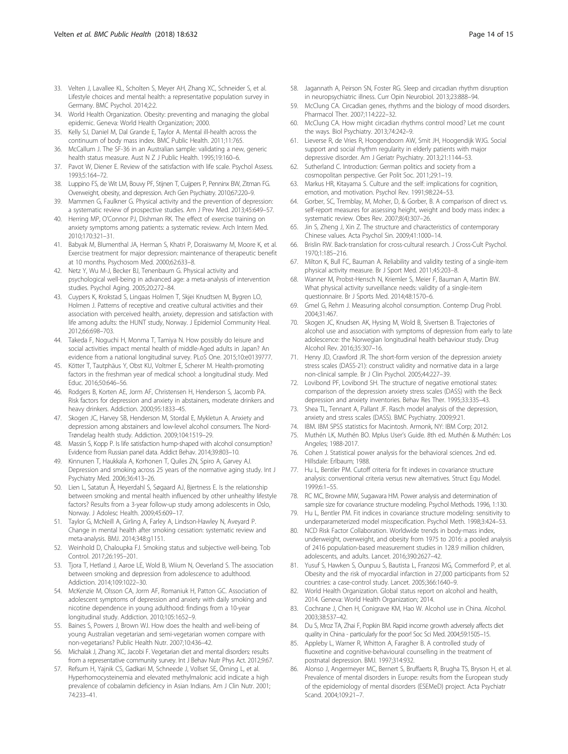- <span id="page-13-0"></span>33. Velten J, Lavallee KL, Scholten S, Meyer AH, Zhang XC, Schneider S, et al. Lifestyle choices and mental health: a representative population survey in Germany. BMC Psychol. 2014;2:2.
- 34. World Health Organization. Obesity: preventing and managing the global epidemic. Geneva: World Health Organization; 2000.
- 35. Kelly SJ, Daniel M, Dal Grande E, Taylor A. Mental ill-health across the continuum of body mass index. BMC Public Health. 2011;11:765.
- 36. McCallum J. The SF-36 in an Australian sample: validating a new, generic health status measure. Aust N Z J Public Health. 1995;19:160–6.
- 37. Pavot W, Diener E. Review of the satisfaction with life scale. Psychol Assess. 1993;5:164–72.
- 38. Luppino FS, de Wit LM, Bouvy PF, Stijnen T, Cuijpers P, Penninx BW, Zitman FG. Overweight, obesity, and depression. Arch Gen Psychiatry. 2010;67:220–9.
- 39. Mammen G, Faulkner G. Physical activity and the prevention of depression: a systematic review of prospective studies. Am J Prev Med. 2013;45:649–57.
- 40. Herring MP, O'Connor PJ, Dishman RK. The effect of exercise training on anxiety symptoms among patients: a systematic review. Arch Intern Med. 2010;170:321–31.
- 41. Babyak M, Blumenthal JA, Herman S, Khatri P, Doraiswamy M, Moore K, et al. Exercise treatment for major depression: maintenance of therapeutic benefit at 10 months. Psychosom Med. 2000;62:633–8.
- 42. Netz Y, Wu M-J, Becker BJ, Tenenbaum G. Physical activity and psychological well-being in advanced age: a meta-analysis of intervention studies. Psychol Aging. 2005;20:272–84.
- 43. Cuypers K, Krokstad S, Lingaas Holmen T, Skjei Knudtsen M, Bygren LO, Holmen J. Patterns of receptive and creative cultural activities and their association with perceived health, anxiety, depression and satisfaction with life among adults: the HUNT study, Norway. J Epidemiol Community Heal. 2012;66:698–703.
- 44. Takeda F, Noguchi H, Monma T, Tamiya N. How possibly do leisure and social activities impact mental health of middle-Aged adults in Japan? An evidence from a national longitudinal survey. PLoS One. 2015;10:e0139777.
- 45. Kötter T, Tautphäus Y, Obst KU, Voltmer E, Scherer M. Health-promoting factors in the freshman year of medical school: a longitudinal study. Med Educ. 2016;50:646–56.
- 46. Rodgers B, Korten AE, Jorm AF, Christensen H, Henderson S, Jacomb PA. Risk factors for depression and anxiety in abstainers, moderate drinkers and heavy drinkers. Addiction. 2000;95:1833–45.
- 47. Skogen JC, Harvey SB, Henderson M, Stordal E, Mykletun A. Anxiety and depression among abstainers and low-level alcohol consumers. The Nord-Trøndelag health study. Addiction. 2009;104:1519–29.
- 48. Massin S, Kopp P. Is life satisfaction hump-shaped with alcohol consumption? Evidence from Russian panel data. Addict Behav. 2014;39:803–10.
- 49. Kinnunen T, Haukkala A, Korhonen T, Quiles ZN, Spiro A, Garvey AJ. Depression and smoking across 25 years of the normative aging study. Int J Psychiatry Med. 2006;36:413–26.
- 50. Lien L, Satatun Å, Heyerdahl S, Søgaard AJ, Bjertness E. Is the relationship between smoking and mental health influenced by other unhealthy lifestyle factors? Results from a 3-year follow-up study among adolescents in Oslo, Norway. J Adolesc Health. 2009;45:609–17.
- 51. Taylor G, McNeill A, Girling A, Farley A, Lindson-Hawley N, Aveyard P. Change in mental health after smoking cessation: systematic review and meta-analysis. BMJ. 2014;348:g1151.
- 52. Weinhold D, Chaloupka FJ. Smoking status and subjective well-being. Tob Control. 2017;26:195–201.
- 53. Tjora T, Hetland J, Aaroe LE, Wold B, Wiium N, Oeverland S. The association between smoking and depression from adolescence to adulthood. Addiction. 2014;109:1022–30.
- 54. McKenzie M, Olsson CA, Jorm AF, Romaniuk H, Patton GC. Association of adolescent symptoms of depression and anxiety with daily smoking and nicotine dependence in young adulthood: findings from a 10-year longitudinal study. Addiction. 2010;105:1652–9.
- 55. Baines S, Powers J, Brown WJ. How does the health and well-being of young Australian vegetarian and semi-vegetarian women compare with non-vegetarians? Public Health Nutr. 2007;10:436–42.
- 56. Michalak J, Zhang XC, Jacobi F. Vegetarian diet and mental disorders: results from a representative community survey. Int J Behav Nutr Phys Act. 2012;9:67.
- 57. Refsum H, Yajnik CS, Gadkari M, Schneede J, Vollset SE, Örning L, et al. Hyperhomocysteinemia and elevated methylmalonic acid indicate a high prevalence of cobalamin deficiency in Asian Indians. Am J Clin Nutr. 2001; 74:233–41.
- 58. Jagannath A, Peirson SN, Foster RG. Sleep and circadian rhythm disruption in neuropsychiatric illness. Curr Opin Neurobiol. 2013;23:888–94.
- McClung CA. Circadian genes, rhythms and the biology of mood disorders. Pharmacol Ther. 2007;114:222–32.
- 60. McClung CA. How might circadian rhythms control mood? Let me count the ways. Biol Psychiatry. 2013;74:242–9.
- 61. Lieverse R, de Vries R, Hoogendoorn AW, Smit JH, Hoogendijk WJG. Social support and social rhythm regularity in elderly patients with major depressive disorder. Am J Geriatr Psychiatry. 2013;21:1144–53.
- 62. Sutherland C. Introduction: German politics and society from a cosmopolitan perspective. Ger Polit Soc. 2011;29:1–19.
- 63. Markus HR, Kitayama S. Culture and the self: implications for cognition, emotion, and motivation. Psychol Rev. 1991;98:224–53.
- 64. Gorber, SC, Tremblay, M, Moher, D, & Gorber, B. A comparison of direct vs. self-report measures for assessing height, weight and body mass index: a systematic review. Obes Rev. 2007;8(4):307–26.
- 65. Jin S, Zheng J, Xin Z. The structure and characteristics of contemporary Chinese values. Acta Psychol Sin. 2009;41:1000–14.
- 66. Brislin RW. Back-translation for cross-cultural research. J Cross-Cult Psychol. 1970;1:185–216.
- 67. Milton K, Bull FC, Bauman A. Reliability and validity testing of a single-item physical activity measure. Br J Sport Med. 2011;45:203–8.
- 68. Wanner M, Probst-Hensch N, Kriemler S, Meier F, Bauman A, Martin BW. What physical activity surveillance needs: validity of a single-item questionnaire. Br J Sports Med. 2014;48:1570–6.
- 69. Gmel G, Rehm J. Measuring alcohol consumption. Contemp Drug Probl. 2004;31:467.
- 70. Skogen JC, Knudsen AK, Hysing M, Wold B, Sivertsen B. Trajectories of alcohol use and association with symptoms of depression from early to late adolescence: the Norwegian longitudinal health behaviour study. Drug Alcohol Rev. 2016;35:307–16.
- 71. Henry JD, Crawford JR. The short-form version of the depression anxiety stress scales (DASS-21): construct validity and normative data in a large non-clinical sample. Br J Clin Psychol. 2005;44:227–39.
- 72. Lovibond PF, Lovibond SH. The structure of negative emotional states: comparison of the depression anxiety stress scales (DASS) with the Beck depression and anxiety inventories. Behav Res Ther. 1995;33:335–43.
- 73. Shea TL, Tennant A, Pallant JF. Rasch model analysis of the depression, anxiety and stress scales (DASS). BMC Psychiatry. 2009;9:21.
- 74. IBM. IBM SPSS statistics for Macintosh. Armonk, NY: IBM Corp; 2012.
- 75. Muthén LK, Muthén BO. Mplus User's Guide. 8th ed. Muthén & Muthén: Los Angeles; 1988-2017.
- 76. Cohen J. Statistical power analysis for the behavioral sciences. 2nd ed. Hillsdale: Erlbaum; 1988.
- 77. Hu L, Bentler PM. Cutoff criteria for fit indexes in covariance structure analysis: conventional criteria versus new alternatives. Struct Equ Model. 1999;6:1–55.
- 78. RC MC, Browne MW, Sugawara HM. Power analysis and determination of sample size for covariance structure modeling. Psychol Methods. 1996, 1:130.
- 79. Hu L, Bentler PM. Fit indices in covariance structure modeling: sensitivity to underparameterized model misspecification. Psychol Meth. 1998;3:424–53.
- 80. NCD Risk Factor Collaboration. Worldwide trends in body-mass index, underweight, overweight, and obesity from 1975 to 2016: a pooled analysis of 2416 population-based measurement studies in 128.9 million children, adolescents, and adults. Lancet. 2016;390:2627–42.
- 81. Yusuf S, Hawken S, Ounpuu S, Bautista L, Franzosi MG, Commerford P, et al. Obesity and the risk of myocardial infarction in 27,000 participants from 52 countries: a case-control study. Lancet. 2005;366:1640–9.
- 82. World Health Organization. Global status report on alcohol and health, 2014. Geneva: World Health Organization; 2014.
- 83. Cochrane J, Chen H, Conigrave KM, Hao W. Alcohol use in China. Alcohol. 2003;38:537–42.
- 84. Du S, Mroz TA, Zhai F, Popkin BM. Rapid income growth adversely affects diet quality in China - particularly for the poor! Soc Sci Med. 2004;59:1505–15.
- Appleby L, Warner R, Whitton A, Faragher B. A controlled study of fluoxetine and cognitive-behavioural counselling in the treatment of postnatal depression. BMJ. 1997;314:932.
- 86. Alonso J, Angermeyer MC, Bernert S, Bruffaerts R, Brugha TS, Bryson H, et al. Prevalence of mental disorders in Europe: results from the European study of the epidemiology of mental disorders (ESEMeD) project. Acta Psychiatr Scand. 2004;109:21–7.